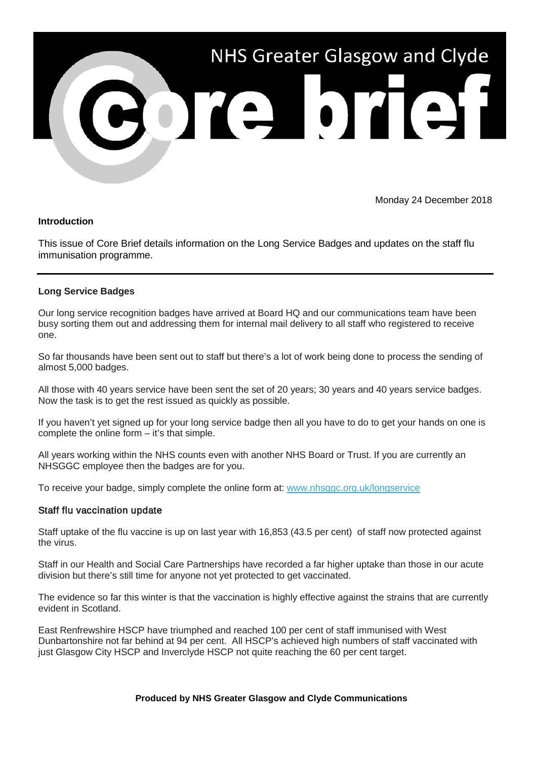

Monday 24 December 2018

## **Introduction**

This issue of Core Brief details information on the Long Service Badges and updates on the staff flu immunisation programme.

## **Long Service Badges**

Our long service recognition badges have arrived at Board HQ and our communications team have been busy sorting them out and addressing them for internal mail delivery to all staff who registered to receive one.

So far thousands have been sent out to staff but there's a lot of work being done to process the sending of almost 5,000 badges.

All those with 40 years service have been sent the set of 20 years; 30 years and 40 years service badges. Now the task is to get the rest issued as quickly as possible.

If you haven't yet signed up for your long service badge then all you have to do to get your hands on one is complete the online form – it's that simple.

All years working within the NHS counts even with another NHS Board or Trust. If you are currently an NHSGGC employee then the badges are for you.

To receive your badge, simply complete the online form at: [www.nhsggc.org.uk/longservice](https://nhsggc.us12.list-manage.com/track/click?u=0f385b5aea37eaf0213bd19fb&id=47eb63a142&e=5af5e1832c)

## Staff flu vaccination update

Staff uptake of the flu vaccine is up on last year with 16,853 (43.5 per cent) of staff now protected against the virus.

Staff in our Health and Social Care Partnerships have recorded a far higher uptake than those in our acute division but there's still time for anyone not yet protected to get vaccinated.

The evidence so far this winter is that the vaccination is highly effective against the strains that are currently evident in Scotland.

East Renfrewshire HSCP have triumphed and reached 100 per cent of staff immunised with West Dunbartonshire not far behind at 94 per cent. All HSCP's achieved high numbers of staff vaccinated with just Glasgow City HSCP and Inverclyde HSCP not quite reaching the 60 per cent target.

## **Produced by NHS Greater Glasgow and Clyde Communications**